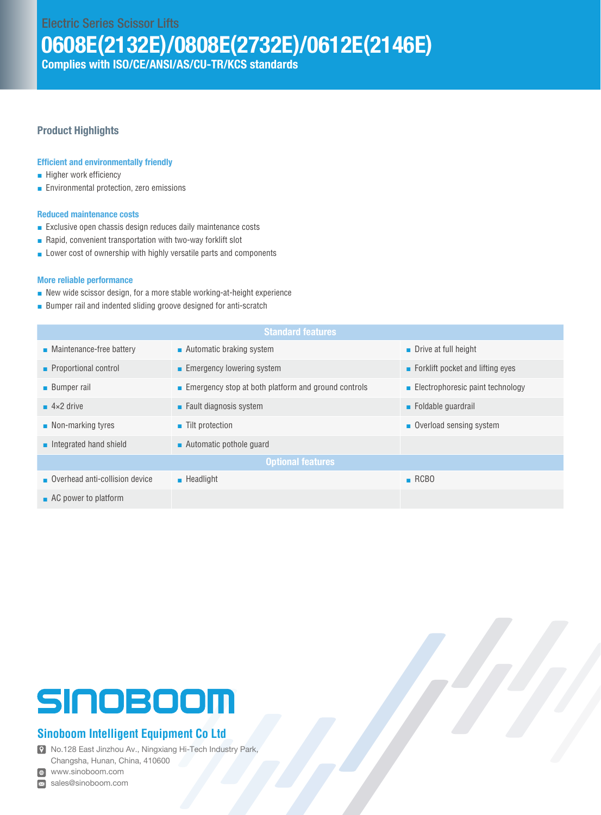Electric Series Scissor Lifts

0608E(2132E)/0808E(2732E)/0612E(2146E)

Complies with ISO/CE/ANSI/AS/CU-TR/KCS standards

#### Product Highlights

#### Efficient and environmentally friendly

- Higher work efficiency
- Environmental protection, zero emissions

#### Reduced maintenance costs

- Exclusive open chassis design reduces daily maintenance costs
- Rapid, convenient transportation with two-way forklift slot
- Lower cost of ownership with highly versatile parts and components

#### More reliable performance

- New wide scissor design, for a more stable working-at-height experience
- Bumper rail and indented sliding groove designed for anti-scratch

| <b>Standard features</b>                |                                                     |                                                 |  |  |  |  |  |
|-----------------------------------------|-----------------------------------------------------|-------------------------------------------------|--|--|--|--|--|
| $\blacksquare$ Maintenance-free battery | $\blacksquare$ Automatic braking system             | • Drive at full height                          |  |  |  |  |  |
| • Proportional control                  | Emergency lowering system                           | $\blacksquare$ Forklift pocket and lifting eyes |  |  |  |  |  |
| <b>Bumper rail</b>                      | Emergency stop at both platform and ground controls | $\blacksquare$ Electrophoresic paint technology |  |  |  |  |  |
| $\blacksquare$ 4×2 drive                | $\blacksquare$ Fault diagnosis system               | • Foldable quardrail                            |  |  |  |  |  |
| $\blacksquare$ Non-marking tyres        | ■ Tilt protection                                   | Overload sensing system                         |  |  |  |  |  |
| $\blacksquare$ Integrated hand shield   | $\blacksquare$ Automatic pothole quard              |                                                 |  |  |  |  |  |
| <b>Optional features</b>                |                                                     |                                                 |  |  |  |  |  |
| Overhead anti-collision device          | $\blacksquare$ Headlight                            | RCBO                                            |  |  |  |  |  |
| $\blacksquare$ AC power to platform     |                                                     |                                                 |  |  |  |  |  |

# SINOBOOM

### **Sinoboom Intelligent Equipment Co Ltd**

No.128 East Jinzhou Av., Ningxiang Hi-Tech Industry Park, Changsha, Hunan, China, 410600

www.sinoboom.com

sales@sinoboom.com